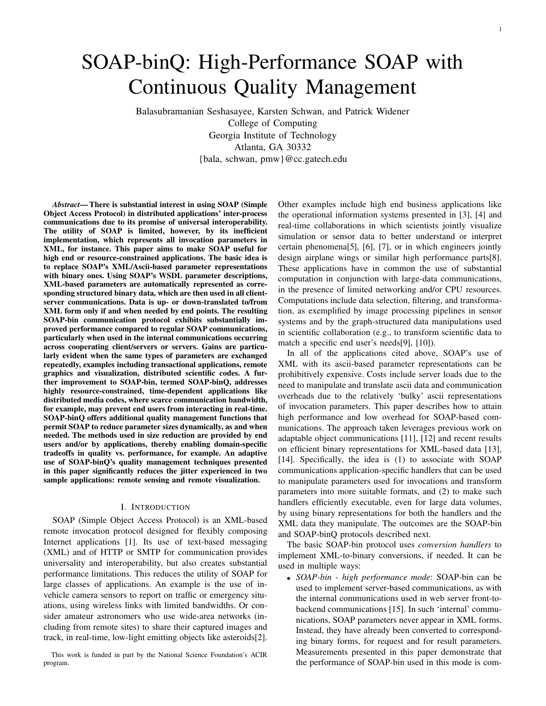# SOAP-binQ: High-Performance SOAP with Continuous Quality Management

Balasubramanian Seshasayee, Karsten Schwan, and Patrick Widener College of Computing Georgia Institute of Technology Atlanta, GA 30332 {bala, schwan, pmw}@cc.gatech.edu

*Abstract***— There is substantial interest in using SOAP (Simple Object Access Protocol) in distributed applications' inter-process communications due to its promise of universal interoperability. The utility of SOAP is limited, however, by its inefficient implementation, which represents all invocation parameters in XML, for instance. This paper aims to make SOAP useful for high end or resource-constrained applications. The basic idea is to replace SOAP's XML/Ascii-based parameter representations with binary ones. Using SOAP's WSDL parameter descriptions, XML-based parameters are automatically represented as corresponding structured binary data, which are then used in all clientserver communications. Data is up- or down-translated to/from XML form only if and when needed by end points. The resulting SOAP-bin communication protocol exhibits substantially improved performance compared to regular SOAP communications, particularly when used in the internal communications occurring across cooperating client/servers or servers. Gains are particularly evident when the same types of parameters are exchanged repeatedly, examples including transactional applications, remote graphics and visualization, distributed scientific codes. A further improvement to SOAP-bin, termed SOAP-binQ, addresses highly resource-constrained, time-dependent applications like distributed media codes, where scarce communication bandwidth, for example, may prevent end users from interacting in real-time. SOAP-binQ offers additional quality management functions that permit SOAP to reduce parameter sizes dynamically, as and when needed. The methods used in size reduction are provided by end users and/or by applications, thereby enabling domain-specific tradeoffs in quality vs. performance, for example. An adaptive use of SOAP-binQ's quality management techniques presented in this paper significantly reduces the jitter experienced in two sample applications: remote sensing and remote visualization.**

#### I. INTRODUCTION

SOAP (Simple Object Access Protocol) is an XML-based remote invocation protocol designed for flexibly composing Internet applications [1]. Its use of text-based messaging (XML) and of HTTP or SMTP for communication provides universality and interoperability, but also creates substantial performance limitations. This reduces the utility of SOAP for large classes of applications. An example is the use of invehicle camera sensors to report on traffic or emergency situations, using wireless links with limited bandwidths. Or consider amateur astronomers who use wide-area networks (including from remote sites) to share their captured images and track, in real-time, low-light emitting objects like asteroids[2].

This work is funded in part by the National Science Foundation's ACIR program.

Other examples include high end business applications like the operational information systems presented in [3], [4] and real-time collaborations in which scientists jointly visualize simulation or sensor data to better understand or interpret certain phenomena[5], [6], [7], or in which engineers jointly design airplane wings or similar high performance parts[8]. These applications have in common the use of substantial computation in conjunction with large-data communications, in the presence of limited networking and/or CPU resources. Computations include data selection, filtering, and transformation, as exemplified by image processing pipelines in sensor systems and by the graph-structured data manipulations used in scientific collaboration (e.g., to transform scientific data to match a specific end user's needs[9], [10]).

In all of the applications cited above, SOAP's use of XML with its ascii-based parameter representations can be prohibitively expensive. Costs include server loads due to the need to manipulate and translate ascii data and communication overheads due to the relatively 'bulky' ascii representations of invocation parameters. This paper describes how to attain high performance and low overhead for SOAP-based communications. The approach taken leverages previous work on adaptable object communications [11], [12] and recent results on efficient binary representations for XML-based data [13], [14]. Specifically, the idea is (1) to associate with SOAP communications application-specific handlers that can be used to manipulate parameters used for invocations and transform parameters into more suitable formats, and (2) to make such handlers efficiently executable, even for large data volumes, by using binary representations for both the handlers and the XML data they manipulate. The outcomes are the SOAP-bin and SOAP-binQ protocols described next.

The basic SOAP-bin protocol uses *conversion handlers* to implement XML-to-binary conversions, if needed. It can be used in multiple ways:

 *SOAP-bin - high performance mode*: SOAP-bin can be used to implement server-based communications, as with the internal communications used in web server front-tobackend communications [15]. In such 'internal' communications, SOAP parameters never appear in XML forms. Instead, they have already been converted to corresponding binary forms, for request and for result parameters. Measurements presented in this paper demonstrate that the performance of SOAP-bin used in this mode is com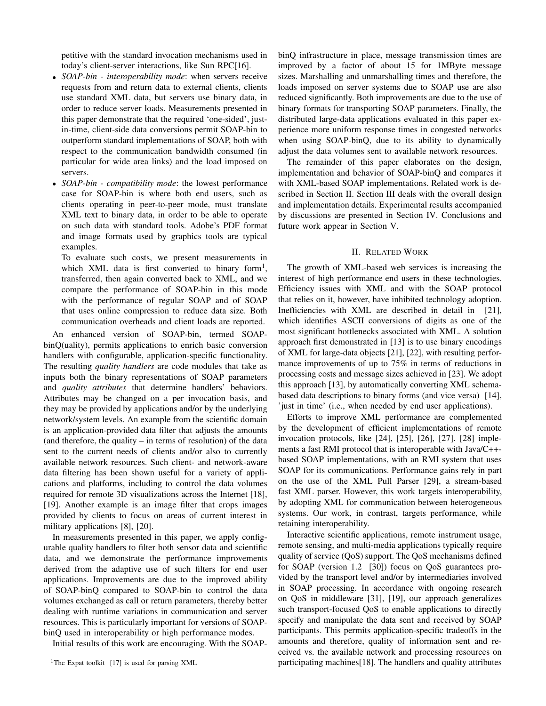petitive with the standard invocation mechanisms used in today's client-server interactions, like Sun RPC[16].

- *SOAP-bin - interoperability mode*: when servers receive requests from and return data to external clients, clients use standard XML data, but servers use binary data, in order to reduce server loads. Measurements presented in this paper demonstrate that the required 'one-sided', justin-time, client-side data conversions permit SOAP-bin to outperform standard implementations of SOAP, both with respect to the communication bandwidth consumed (in particular for wide area links) and the load imposed on servers.
- *SOAP-bin - compatibility mode*: the lowest performance case for SOAP-bin is where both end users, such as clients operating in peer-to-peer mode, must translate XML text to binary data, in order to be able to operate on such data with standard tools. Adobe's PDF format and image formats used by graphics tools are typical examples.

To evaluate such costs, we present measurements in which XML data is first converted to binary form<sup>1</sup>, transferred, then again converted back to XML, and we compare the performance of SOAP-bin in this mode with the performance of regular SOAP and of SOAP that uses online compression to reduce data size. Both communication overheads and client loads are reported.

An enhanced version of SOAP-bin, termed SOAPbinQ(uality), permits applications to enrich basic conversion handlers with configurable, application-specific functionality. The resulting *quality handlers* are code modules that take as inputs both the binary representations of SOAP parameters and *quality attributes* that determine handlers' behaviors. Attributes may be changed on a per invocation basis, and they may be provided by applications and/or by the underlying network/system levels. An example from the scientific domain is an application-provided data filter that adjusts the amounts (and therefore, the quality – in terms of resolution) of the data sent to the current needs of clients and/or also to currently available network resources. Such client- and network-aware data filtering has been shown useful for a variety of applications and platforms, including to control the data volumes required for remote 3D visualizations across the Internet [18], [19]. Another example is an image filter that crops images provided by clients to focus on areas of current interest in military applications [8], [20].

In measurements presented in this paper, we apply configurable quality handlers to filter both sensor data and scientific data, and we demonstrate the performance improvements derived from the adaptive use of such filters for end user applications. Improvements are due to the improved ability of SOAP-binQ compared to SOAP-bin to control the data volumes exchanged as call or return parameters, thereby better dealing with runtime variations in communication and server resources. This is particularly important for versions of SOAPbinQ used in interoperability or high performance modes.

Initial results of this work are encouraging. With the SOAP-

binQ infrastructure in place, message transmission times are improved by a factor of about 15 for 1MByte message sizes. Marshalling and unmarshalling times and therefore, the loads imposed on server systems due to SOAP use are also reduced significantly. Both improvements are due to the use of binary formats for transporting SOAP parameters. Finally, the distributed large-data applications evaluated in this paper experience more uniform response times in congested networks when using SOAP-binQ, due to its ability to dynamically adjust the data volumes sent to available network resources.

The remainder of this paper elaborates on the design, implementation and behavior of SOAP-binQ and compares it with XML-based SOAP implementations. Related work is described in Section II. Section III deals with the overall design and implementation details. Experimental results accompanied by discussions are presented in Section IV. Conclusions and future work appear in Section V.

## II. RELATED WORK

The growth of XML-based web services is increasing the interest of high performance end users in these technologies. Efficiency issues with XML and with the SOAP protocol that relies on it, however, have inhibited technology adoption. Inefficiencies with XML are described in detail in [21], which identifies ASCII conversions of digits as one of the most significant bottlenecks associated with XML. A solution approach first demonstrated in [13] is to use binary encodings of XML for large-data objects [21], [22], with resulting performance improvements of up to 75% in terms of reductions in processing costs and message sizes achieved in [23]. We adopt this approach [13], by automatically converting XML schemabased data descriptions to binary forms (and vice versa) [14], 'just in time' (i.e., when needed by end user applications).

Efforts to improve XML performance are complemented by the development of efficient implementations of remote invocation protocols, like [24], [25], [26], [27]. [28] implements a fast RMI protocol that is interoperable with Java/C++ based SOAP implementations, with an RMI system that uses SOAP for its communications. Performance gains rely in part on the use of the XML Pull Parser [29], a stream-based fast XML parser. However, this work targets interoperability, by adopting XML for communication between heterogeneous systems. Our work, in contrast, targets performance, while retaining interoperability.

Interactive scientific applications, remote instrument usage, remote sensing, and multi-media applications typically require quality of service (QoS) support. The QoS mechanisms defined for SOAP (version 1.2 [30]) focus on QoS guarantees provided by the transport level and/or by intermediaries involved in SOAP processing. In accordance with ongoing research on QoS in middleware [31], [19], our approach generalizes such transport-focused QoS to enable applications to directly specify and manipulate the data sent and received by SOAP participants. This permits application-specific tradeoffs in the amounts and therefore, quality of information sent and received vs. the available network and processing resources on participating machines[18]. The handlers and quality attributes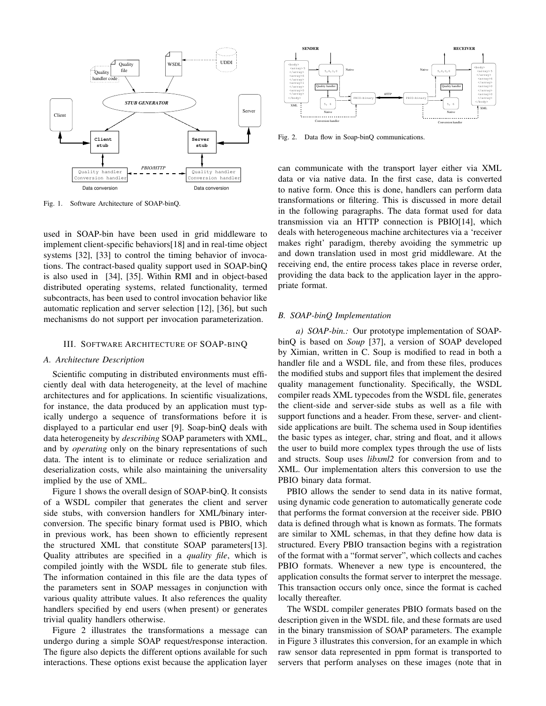

Fig. 1. Software Architecture of SOAP-binQ.

used in SOAP-bin have been used in grid middleware to implement client-specific behaviors[18] and in real-time object systems [32], [33] to control the timing behavior of invocations. The contract-based quality support used in SOAP-binQ is also used in [34], [35]. Within RMI and in object-based distributed operating systems, related functionality, termed subcontracts, has been used to control invocation behavior like automatic replication and server selection [12], [36], but such mechanisms do not support per invocation parameterization.

#### III. SOFTWARE ARCHITECTURE OF SOAP-BINQ

#### *A. Architecture Description*

Scientific computing in distributed environments must efficiently deal with data heterogeneity, at the level of machine architectures and for applications. In scientific visualizations, for instance, the data produced by an application must typically undergo a sequence of transformations before it is displayed to a particular end user [9]. Soap-binQ deals with data heterogeneity by *describing* SOAP parameters with XML, and by *operating* only on the binary representations of such data. The intent is to eliminate or reduce serialization and deserialization costs, while also maintaining the universality implied by the use of XML.

Figure 1 shows the overall design of SOAP-binQ. It consists of a WSDL compiler that generates the client and server side stubs, with conversion handlers for XML/binary interconversion. The specific binary format used is PBIO, which in previous work, has been shown to efficiently represent the structured XML that constitute SOAP parameters[13]. Quality attributes are specified in a *quality file*, which is compiled jointly with the WSDL file to generate stub files. The information contained in this file are the data types of the parameters sent in SOAP messages in conjunction with various quality attribute values. It also references the quality handlers specified by end users (when present) or generates trivial quality handlers otherwise.

Figure 2 illustrates the transformations a message can undergo during a simple SOAP request/response interaction. The figure also depicts the different options available for such interactions. These options exist because the application layer



Fig. 2. Data flow in Soap-binQ communications.

can communicate with the transport layer either via XML data or via native data. In the first case, data is converted to native form. Once this is done, handlers can perform data transformations or filtering. This is discussed in more detail in the following paragraphs. The data format used for data transmission via an HTTP connection is PBIO[14], which deals with heterogeneous machine architectures via a 'receiver makes right' paradigm, thereby avoiding the symmetric up and down translation used in most grid middleware. At the receiving end, the entire process takes place in reverse order, providing the data back to the application layer in the appropriate format.

### *B. SOAP-binQ Implementation*

*a) SOAP-bin.:* Our prototype implementation of SOAPbinQ is based on *Soup* [37], a version of SOAP developed by Ximian, written in C. Soup is modified to read in both a handler file and a WSDL file, and from these files, produces the modified stubs and support files that implement the desired quality management functionality. Specifically, the WSDL compiler reads XML typecodes from the WSDL file, generates the client-side and server-side stubs as well as a file with support functions and a header. From these, server- and clientside applications are built. The schema used in Soup identifies the basic types as integer, char, string and float, and it allows the user to build more complex types through the use of lists and structs. Soup uses *libxml2* for conversion from and to XML. Our implementation alters this conversion to use the PBIO binary data format.

PBIO allows the sender to send data in its native format, using dynamic code generation to automatically generate code that performs the format conversion at the receiver side. PBIO data is defined through what is known as formats. The formats are similar to XML schemas, in that they define how data is structured. Every PBIO transaction begins with a registration of the format with a "format server", which collects and caches PBIO formats. Whenever a new type is encountered, the application consults the format server to interpret the message. This transaction occurs only once, since the format is cached locally thereafter.

The WSDL compiler generates PBIO formats based on the description given in the WSDL file, and these formats are used in the binary transmission of SOAP parameters. The example in Figure 3 illustrates this conversion, for an example in which raw sensor data represented in ppm format is transported to servers that perform analyses on these images (note that in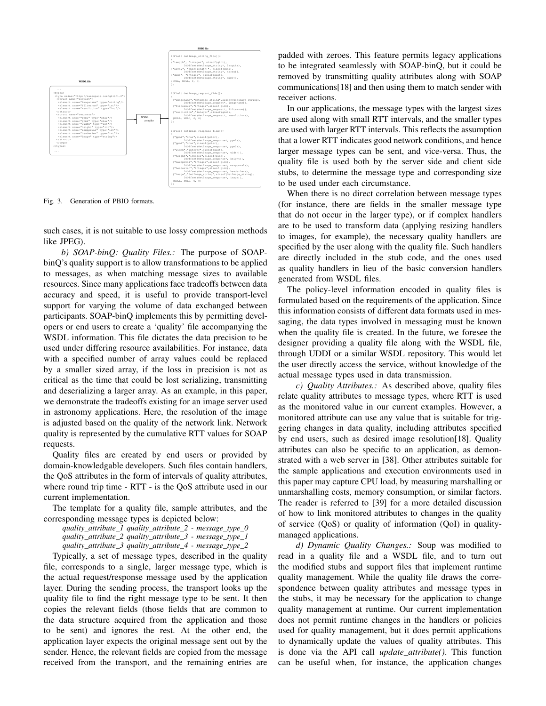

Fig. 3. Generation of PBIO formats.

such cases, it is not suitable to use lossy compression methods like JPEG).

*b) SOAP-binQ: Quality Files.:* The purpose of SOAPbinQ's quality support is to allow transformations to be applied to messages, as when matching message sizes to available resources. Since many applications face tradeoffs between data accuracy and speed, it is useful to provide transport-level support for varying the volume of data exchanged between participants. SOAP-binQ implements this by permitting developers or end users to create a 'quality' file accompanying the WSDL information. This file dictates the data precision to be used under differing resource availabilities. For instance, data with a specified number of array values could be replaced by a smaller sized array, if the loss in precision is not as critical as the time that could be lost serializing, transmitting and deserializing a larger array. As an example, in this paper, we demonstrate the tradeoffs existing for an image server used in astronomy applications. Here, the resolution of the image is adjusted based on the quality of the network link. Network quality is represented by the cumulative RTT values for SOAP requests.

Quality files are created by end users or provided by domain-knowledgable developers. Such files contain handlers, the QoS attributes in the form of intervals of quality attributes, where round trip time - RTT - is the QoS attribute used in our current implementation.

The template for a quality file, sample attributes, and the corresponding message types is depicted below:

*quality\_attribute\_1 quality\_attribute\_2 - message\_type\_0 quality\_attribute\_2 quality\_attribute\_3 - message\_type\_1 quality\_attribute\_3 quality\_attribute\_4 - message\_type\_2*

Typically, a set of message types, described in the quality file, corresponds to a single, larger message type, which is the actual request/response message used by the application layer. During the sending process, the transport looks up the quality file to find the right message type to be sent. It then copies the relevant fields (those fields that are common to the data structure acquired from the application and those to be sent) and ignores the rest. At the other end, the application layer expects the original message sent out by the sender. Hence, the relevant fields are copied from the message received from the transport, and the remaining entries are padded with zeroes. This feature permits legacy applications to be integrated seamlessly with SOAP-binQ, but it could be removed by transmitting quality attributes along with SOAP communications[18] and then using them to match sender with receiver actions.

In our applications, the message types with the largest sizes are used along with small RTT intervals, and the smaller types are used with larger RTT intervals. This reflects the assumption that a lower RTT indicates good network conditions, and hence larger message types can be sent, and vice-versa. Thus, the quality file is used both by the server side and client side stubs, to determine the message type and corresponding size to be used under each circumstance.

When there is no direct correlation between message types (for instance, there are fields in the smaller message type that do not occur in the larger type), or if complex handlers are to be used to transform data (applying resizing handlers to images, for example), the necessary quality handlers are specified by the user along with the quality file. Such handlers are directly included in the stub code, and the ones used as quality handlers in lieu of the basic conversion handlers generated from WSDL files.

The policy-level information encoded in quality files is formulated based on the requirements of the application. Since this information consists of different data formats used in messaging, the data types involved in messaging must be known when the quality file is created. In the future, we foresee the designer providing a quality file along with the WSDL file, through UDDI or a similar WSDL repository. This would let the user directly access the service, without knowledge of the actual message types used in data transmission.

*c) Quality Attributes.:* As described above, quality files relate quality attributes to message types, where RTT is used as the monitored value in our current examples. However, a monitored attribute can use any value that is suitable for triggering changes in data quality, including attributes specified by end users, such as desired image resolution[18]. Quality attributes can also be specific to an application, as demonstrated with a web server in [38]. Other attributes suitable for the sample applications and execution environments used in this paper may capture CPU load, by measuring marshalling or unmarshalling costs, memory consumption, or similar factors. The reader is referred to [39] for a more detailed discussion of how to link monitored attributes to changes in the quality of service (QoS) or quality of information (QoI) in qualitymanaged applications.

*d) Dynamic Quality Changes.:* Soup was modified to read in a quality file and a WSDL file, and to turn out the modified stubs and support files that implement runtime quality management. While the quality file draws the correspondence between quality attributes and message types in the stubs, it may be necessary for the application to change quality management at runtime. Our current implementation does not permit runtime changes in the handlers or policies used for quality management, but it does permit applications to dynamically update the values of quality attributes. This is done via the API call *update\_attribute()*. This function can be useful when, for instance, the application changes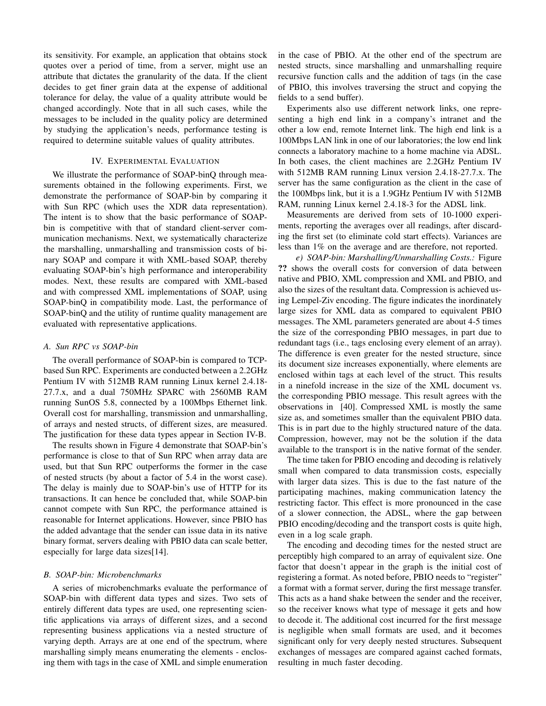its sensitivity. For example, an application that obtains stock quotes over a period of time, from a server, might use an attribute that dictates the granularity of the data. If the client decides to get finer grain data at the expense of additional tolerance for delay, the value of a quality attribute would be changed accordingly. Note that in all such cases, while the messages to be included in the quality policy are determined by studying the application's needs, performance testing is required to determine suitable values of quality attributes.

# IV. EXPERIMENTAL EVALUATION

We illustrate the performance of SOAP-binQ through measurements obtained in the following experiments. First, we demonstrate the performance of SOAP-bin by comparing it with Sun RPC (which uses the XDR data representation). The intent is to show that the basic performance of SOAPbin is competitive with that of standard client-server communication mechanisms. Next, we systematically characterize the marshalling, unmarshalling and transmission costs of binary SOAP and compare it with XML-based SOAP, thereby evaluating SOAP-bin's high performance and interoperability modes. Next, these results are compared with XML-based and with compressed XML implementations of SOAP, using SOAP-binQ in compatibility mode. Last, the performance of SOAP-binQ and the utility of runtime quality management are evaluated with representative applications.

## *A. Sun RPC vs SOAP-bin*

The overall performance of SOAP-bin is compared to TCPbased Sun RPC. Experiments are conducted between a 2.2GHz Pentium IV with 512MB RAM running Linux kernel 2.4.18- 27.7.x, and a dual 750MHz SPARC with 2560MB RAM running SunOS 5.8, connected by a 100Mbps Ethernet link. Overall cost for marshalling, transmission and unmarshalling, of arrays and nested structs, of different sizes, are measured. The justification for these data types appear in Section IV-B.

The results shown in Figure 4 demonstrate that SOAP-bin's performance is close to that of Sun RPC when array data are used, but that Sun RPC outperforms the former in the case of nested structs (by about a factor of 5.4 in the worst case). The delay is mainly due to SOAP-bin's use of HTTP for its transactions. It can hence be concluded that, while SOAP-bin cannot compete with Sun RPC, the performance attained is reasonable for Internet applications. However, since PBIO has the added advantage that the sender can issue data in its native binary format, servers dealing with PBIO data can scale better, especially for large data sizes[14].

## *B. SOAP-bin: Microbenchmarks*

A series of microbenchmarks evaluate the performance of SOAP-bin with different data types and sizes. Two sets of entirely different data types are used, one representing scientific applications via arrays of different sizes, and a second representing business applications via a nested structure of varying depth. Arrays are at one end of the spectrum, where marshalling simply means enumerating the elements - enclosing them with tags in the case of XML and simple enumeration in the case of PBIO. At the other end of the spectrum are nested structs, since marshalling and unmarshalling require recursive function calls and the addition of tags (in the case of PBIO, this involves traversing the struct and copying the fields to a send buffer).

Experiments also use different network links, one representing a high end link in a company's intranet and the other a low end, remote Internet link. The high end link is a 100Mbps LAN link in one of our laboratories; the low end link connects a laboratory machine to a home machine via ADSL. In both cases, the client machines are 2.2GHz Pentium IV with 512MB RAM running Linux version 2.4.18-27.7.x. The server has the same configuration as the client in the case of the 100Mbps link, but it is a 1.9GHz Pentium IV with 512MB RAM, running Linux kernel 2.4.18-3 for the ADSL link.

Measurements are derived from sets of 10-1000 experiments, reporting the averages over all readings, after discarding the first set (to eliminate cold start effects). Variances are less than 1% on the average and are therefore, not reported.

*e) SOAP-bin: Marshalling/Unmarshalling Costs.:* Figure **??** shows the overall costs for conversion of data between native and PBIO, XML compression and XML and PBIO, and also the sizes of the resultant data. Compression is achieved using Lempel-Ziv encoding. The figure indicates the inordinately large sizes for XML data as compared to equivalent PBIO messages. The XML parameters generated are about 4-5 times the size of the corresponding PBIO messages, in part due to redundant tags (i.e., tags enclosing every element of an array). The difference is even greater for the nested structure, since its document size increases exponentially, where elements are enclosed within tags at each level of the struct. This results in a ninefold increase in the size of the XML document vs. the corresponding PBIO message. This result agrees with the observations in [40]. Compressed XML is mostly the same size as, and sometimes smaller than the equivalent PBIO data. This is in part due to the highly structured nature of the data. Compression, however, may not be the solution if the data available to the transport is in the native format of the sender.

The time taken for PBIO encoding and decoding is relatively small when compared to data transmission costs, especially with larger data sizes. This is due to the fast nature of the participating machines, making communication latency the restricting factor. This effect is more pronounced in the case of a slower connection, the ADSL, where the gap between PBIO encoding/decoding and the transport costs is quite high, even in a log scale graph.

The encoding and decoding times for the nested struct are perceptibly high compared to an array of equivalent size. One factor that doesn't appear in the graph is the initial cost of registering a format. As noted before, PBIO needs to "register" a format with a format server, during the first message transfer. This acts as a hand shake between the sender and the receiver, so the receiver knows what type of message it gets and how to decode it. The additional cost incurred for the first message is negligible when small formats are used, and it becomes significant only for very deeply nested structures. Subsequent exchanges of messages are compared against cached formats, resulting in much faster decoding.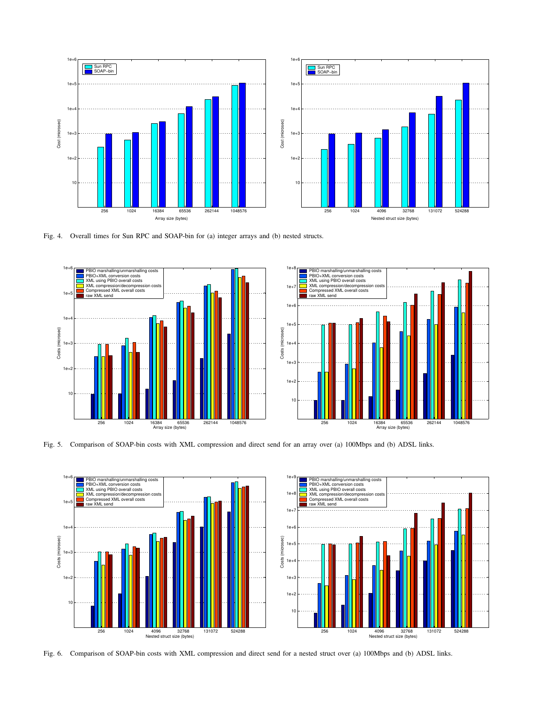

Fig. 4. Overall times for Sun RPC and SOAP-bin for (a) integer arrays and (b) nested structs.





Fig. 5. Comparison of SOAP-bin costs with XML compression and direct send for an array over (a) 100Mbps and (b) ADSL links.



Fig. 6. Comparison of SOAP-bin costs with XML compression and direct send for a nested struct over (a) 100Mbps and (b) ADSL links.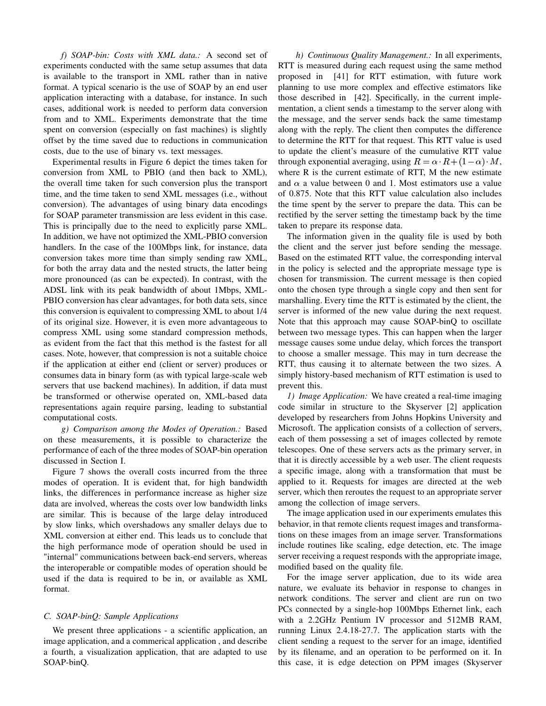*f) SOAP-bin: Costs with XML data.:* A second set of experiments conducted with the same setup assumes that data is available to the transport in XML rather than in native format. A typical scenario is the use of SOAP by an end user application interacting with a database, for instance. In such cases, additional work is needed to perform data conversion from and to XML. Experiments demonstrate that the time spent on conversion (especially on fast machines) is slightly offset by the time saved due to reductions in communication costs, due to the use of binary vs. text messages.

Experimental results in Figure 6 depict the times taken for conversion from XML to PBIO (and then back to XML), the overall time taken for such conversion plus the transport time, and the time taken to send XML messages (i.e., without conversion). The advantages of using binary data encodings for SOAP parameter transmission are less evident in this case. This is principally due to the need to explicitly parse XML. In addition, we have not optimized the XML-PBIO conversion handlers. In the case of the 100Mbps link, for instance, data conversion takes more time than simply sending raw XML, for both the array data and the nested structs, the latter being more pronounced (as can be expected). In contrast, with the ADSL link with its peak bandwidth of about 1Mbps, XML-PBIO conversion has clear advantages, for both data sets, since this conversion is equivalent to compressing XML to about 1/4 of its original size. However, it is even more advantageous to compress XML using some standard compression methods, as evident from the fact that this method is the fastest for all cases. Note, however, that compression is not a suitable choice if the application at either end (client or server) produces or consumes data in binary form (as with typical large-scale web servers that use backend machines). In addition, if data must be transformed or otherwise operated on, XML-based data representations again require parsing, leading to substantial computational costs.

*g) Comparison among the Modes of Operation.:* Based on these measurements, it is possible to characterize the performance of each of the three modes of SOAP-bin operation discussed in Section I.

Figure 7 shows the overall costs incurred from the three modes of operation. It is evident that, for high bandwidth links, the differences in performance increase as higher size data are involved, whereas the costs over low bandwidth links are similar. This is because of the large delay introduced by slow links, which overshadows any smaller delays due to XML conversion at either end. This leads us to conclude that the high performance mode of operation should be used in "internal" communications between back-end servers, whereas the interoperable or compatible modes of operation should be used if the data is required to be in, or available as XML format.

## *C. SOAP-binQ: Sample Applications*

We present three applications - a scientific application, an image application, and a commerical application , and describe a fourth, a visualization application, that are adapted to use SOAP-binQ.

*h) Continuous Quality Management.:* In all experiments, RTT is measured during each request using the same method proposed in [41] for RTT estimation, with future work planning to use more complex and effective estimators like those described in [42]. Specifically, in the current implementation, a client sends a timestamp to the server along with the message, and the server sends back the same timestamp along with the reply. The client then computes the difference to determine the RTT for that request. This RTT value is used to update the client's measure of the cumulative RTT value through exponential averaging, using  $R = \alpha \cdot R + (1 - \alpha) \cdot M$ , where R is the current estimate of RTT, M the new estimate and  $\alpha$  a value between 0 and 1. Most estimators use a value of 0.875. Note that this RTT value calculation also includes the time spent by the server to prepare the data. This can be rectified by the server setting the timestamp back by the time taken to prepare its response data.

The information given in the quality file is used by both the client and the server just before sending the message. Based on the estimated RTT value, the corresponding interval in the policy is selected and the appropriate message type is chosen for transmission. The current message is then copied onto the chosen type through a single copy and then sent for marshalling. Every time the RTT is estimated by the client, the server is informed of the new value during the next request. Note that this approach may cause SOAP-binQ to oscillate between two message types. This can happen when the larger message causes some undue delay, which forces the transport to choose a smaller message. This may in turn decrease the RTT, thus causing it to alternate between the two sizes. A simply history-based mechanism of RTT estimation is used to prevent this.

*1) Image Application:* We have created a real-time imaging code similar in structure to the Skyserver [2] application developed by researchers from Johns Hopkins University and Microsoft. The application consists of a collection of servers, each of them possessing a set of images collected by remote telescopes. One of these servers acts as the primary server, in that it is directly accessible by a web user. The client requests a specific image, along with a transformation that must be applied to it. Requests for images are directed at the web server, which then reroutes the request to an appropriate server among the collection of image servers.

The image application used in our experiments emulates this behavior, in that remote clients request images and transformations on these images from an image server. Transformations include routines like scaling, edge detection, etc. The image server receiving a request responds with the appropriate image, modified based on the quality file.

For the image server application, due to its wide area nature, we evaluate its behavior in response to changes in network conditions. The server and client are run on two PCs connected by a single-hop 100Mbps Ethernet link, each with a 2.2GHz Pentium IV processor and 512MB RAM, running Linux 2.4.18-27.7. The application starts with the client sending a request to the server for an image, identified by its filename, and an operation to be performed on it. In this case, it is edge detection on PPM images (Skyserver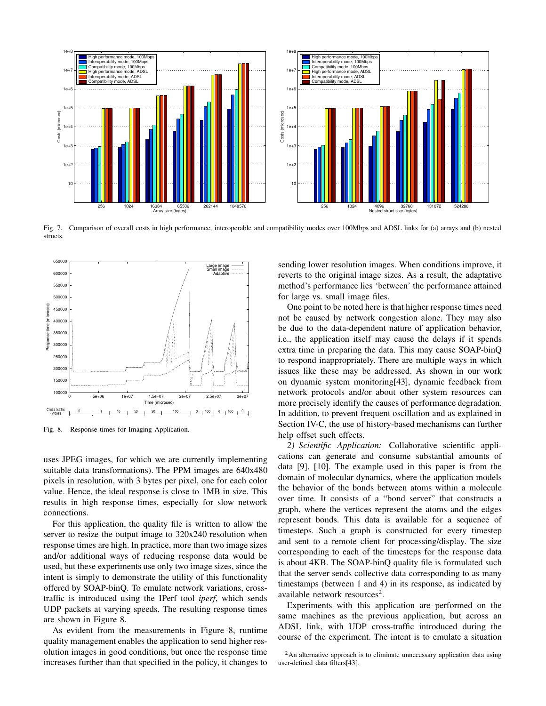

Fig. 7. Comparison of overall costs in high performance, interoperable and compatibility modes over 100Mbps and ADSL links for (a) arrays and (b) nested structs.



Fig. 8. Response times for Imaging Application.

uses JPEG images, for which we are currently implementing suitable data transformations). The PPM images are 640x480 pixels in resolution, with 3 bytes per pixel, one for each color value. Hence, the ideal response is close to 1MB in size. This results in high response times, especially for slow network connections.

For this application, the quality file is written to allow the server to resize the output image to 320x240 resolution when response times are high. In practice, more than two image sizes and/or additional ways of reducing response data would be used, but these experiments use only two image sizes, since the intent is simply to demonstrate the utility of this functionality offered by SOAP-binQ. To emulate network variations, crosstraffic is introduced using the IPerf tool *iperf*, which sends UDP packets at varying speeds. The resulting response times are shown in Figure 8.

As evident from the measurements in Figure 8, runtime quality management enables the application to send higher resolution images in good conditions, but once the response time increases further than that specified in the policy, it changes to sending lower resolution images. When conditions improve, it reverts to the original image sizes. As a result, the adaptative method's performance lies 'between' the performance attained for large vs. small image files.

One point to be noted here is that higher response times need not be caused by network congestion alone. They may also be due to the data-dependent nature of application behavior, i.e., the application itself may cause the delays if it spends extra time in preparing the data. This may cause SOAP-binQ to respond inappropriately. There are multiple ways in which issues like these may be addressed. As shown in our work on dynamic system monitoring[43], dynamic feedback from network protocols and/or about other system resources can more precisely identify the causes of performance degradation. In addition, to prevent frequent oscillation and as explained in Section IV-C, the use of history-based mechanisms can further help offset such effects.

*2) Scientific Application:* Collaborative scientific applications can generate and consume substantial amounts of data [9], [10]. The example used in this paper is from the domain of molecular dynamics, where the application models the behavior of the bonds between atoms within a molecule over time. It consists of a "bond server" that constructs a graph, where the vertices represent the atoms and the edges represent bonds. This data is available for a sequence of timesteps. Such a graph is constructed for every timestep and sent to a remote client for processing/display. The size corresponding to each of the timesteps for the response data is about 4KB. The SOAP-binQ quality file is formulated such that the server sends collective data corresponding to as many timestamps (between 1 and 4) in its response, as indicated by available network resources<sup>2</sup>.

Experiments with this application are performed on the same machines as the previous application, but across an ADSL link, with UDP cross-traffic introduced during the course of the experiment. The intent is to emulate a situation

 $2$ An alternative approach is to eliminate unnecessary application data using user-defined data filters[43].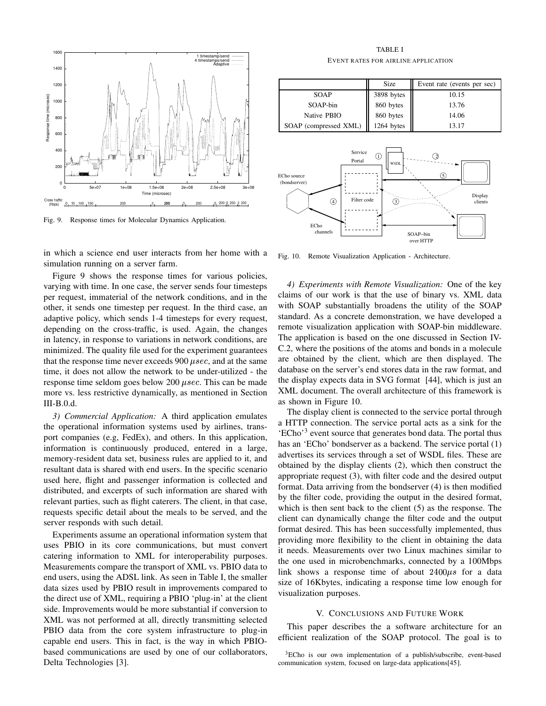

Fig. 9. Response times for Molecular Dynamics Application.

in which a science end user interacts from her home with a simulation running on a server farm.

Figure 9 shows the response times for various policies, varying with time. In one case, the server sends four timesteps per request, immaterial of the network conditions, and in the other, it sends one timestep per request. In the third case, an adaptive policy, which sends 1-4 timesteps for every request, depending on the cross-traffic, is used. Again, the changes in latency, in response to variations in network conditions, are minimized. The quality file used for the experiment guarantees that the response time never exceeds 900  $\mu sec$ , and at the same time, it does not allow the network to be under-utilized - the response time seldom goes below 200  $\mu$ sec. This can be made more vs. less restrictive dynamically, as mentioned in Section III-B.0.d.

*3) Commercial Application:* A third application emulates the operational information systems used by airlines, transport companies (e.g, FedEx), and others. In this application, information is continuously produced, entered in a large, memory-resident data set, business rules are applied to it, and resultant data is shared with end users. In the specific scenario used here, flight and passenger information is collected and distributed, and excerpts of such information are shared with relevant parties, such as flight caterers. The client, in that case, requests specific detail about the meals to be served, and the server responds with such detail.

Experiments assume an operational information system that uses PBIO in its core communications, but must convert catering information to XML for interoperability purposes. Measurements compare the transport of XML vs. PBIO data to end users, using the ADSL link. As seen in Table I, the smaller data sizes used by PBIO result in improvements compared to the direct use of XML, requiring a PBIO 'plug-in' at the client side. Improvements would be more substantial if conversion to XML was not performed at all, directly transmitting selected PBIO data from the core system infrastructure to plug-in capable end users. This in fact, is the way in which PBIObased communications are used by one of our collaborators, Delta Technologies [3].

TABLE I EVENT RATES FOR AIRLINE APPLICATION



Fig. 10. Remote Visualization Application - Architecture.

*4) Experiments with Remote Visualization:* One of the key claims of our work is that the use of binary vs. XML data with SOAP substantially broadens the utility of the SOAP standard. As a concrete demonstration, we have developed a remote visualization application with SOAP-bin middleware. The application is based on the one discussed in Section IV-C.2, where the positions of the atoms and bonds in a molecule are obtained by the client, which are then displayed. The database on the server's end stores data in the raw format, and the display expects data in SVG format [44], which is just an XML document. The overall architecture of this framework is as shown in Figure 10.

The display client is connected to the service portal through a HTTP connection. The service portal acts as a sink for the 'ECho'<sup>3</sup> event source that generates bond data. The portal thus has an 'ECho' bondserver as a backend. The service portal  $(1)$ advertises its services through a set of WSDL files. These are obtained by the display clients (2), which then construct the appropriate request (3), with filter code and the desired output format. Data arriving from the bondserver (4) is then modified by the filter code, providing the output in the desired format, which is then sent back to the client (5) as the response. The client can dynamically change the filter code and the output format desired. This has been successfully implemented, thus providing more flexibility to the client in obtaining the data it needs. Measurements over two Linux machines similar to the one used in microbenchmarks, connected by a 100Mbps link shows a response time of about  $2400\mu s$  for a data size of 16Kbytes, indicating a response time low enough for visualization purposes.

#### V. CONCLUSIONS AND FUTURE WORK

This paper describes the a software architecture for an efficient realization of the SOAP protocol. The goal is to

<sup>&</sup>lt;sup>3</sup>ECho is our own implementation of a publish/subscribe, event-based communication system, focused on large-data applications[45].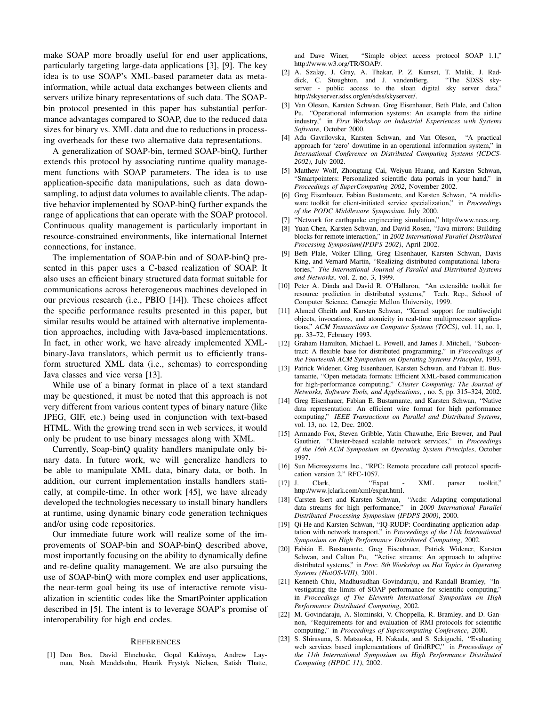make SOAP more broadly useful for end user applications, particularly targeting large-data applications [3], [9]. The key idea is to use SOAP's XML-based parameter data as metainformation, while actual data exchanges between clients and servers utilize binary representations of such data. The SOAPbin protocol presented in this paper has substantial performance advantages compared to SOAP, due to the reduced data sizes for binary vs. XML data and due to reductions in processing overheads for these two alternative data representations.

A generalization of SOAP-bin, termed SOAP-binQ, further extends this protocol by associating runtime quality management functions with SOAP parameters. The idea is to use application-specific data manipulations, such as data downsampling, to adjust data volumes to available clients. The adaptive behavior implemented by SOAP-binQ further expands the range of applications that can operate with the SOAP protocol. Continuous quality management is particularly important in resource-constrained environments, like international Internet connections, for instance.

The implementation of SOAP-bin and of SOAP-binQ presented in this paper uses a C-based realization of SOAP. It also uses an efficient binary structured data format suitable for communications across heterogeneous machines developed in our previous research (i.e., PBIO [14]). These choices affect the specific performance results presented in this paper, but similar results would be attained with alternative implementation approaches, including with Java-based implementations. In fact, in other work, we have already implemented XMLbinary-Java translators, which permit us to efficiently transform structured XML data (i.e., schemas) to corresponding Java classes and vice versa [13].

While use of a binary format in place of a text standard may be questioned, it must be noted that this approach is not very different from various content types of binary nature (like JPEG, GIF, etc.) being used in conjunction with text-based HTML. With the growing trend seen in web services, it would only be prudent to use binary messages along with XML.

Currently, Soap-binQ quality handlers manipulate only binary data. In future work, we will generalize handlers to be able to manipulate XML data, binary data, or both. In addition, our current implementation installs handlers statically, at compile-time. In other work [45], we have already developed the technologies necessary to install binary handlers at runtime, using dynamic binary code generation techniques and/or using code repositories.

Our immediate future work will realize some of the improvements of SOAP-bin and SOAP-binQ described above, most importantly focusing on the ability to dynamically define and re-define quality management. We are also pursuing the use of SOAP-binQ with more complex end user applications, the near-term goal being its use of interactive remote visualization in scientitic codes like the SmartPointer application described in [5]. The intent is to leverage SOAP's promise of interoperability for high end codes.

#### REFERENCES

[1] Don Box, David Ehnebuske, Gopal Kakivaya, Andrew Layman, Noah Mendelsohn, Henrik Frystyk Nielsen, Satish Thatte,

and Dave Winer, "Simple object access protocol SOAP 1.1," http://www.w3.org/TR/SOAP/.

- [2] A. Szalay, J. Gray, A. Thakar, P. Z. Kunszt, T. Malik, J. Raddick, C. Stoughton, and J. vandenBerg, "The SDSS skyserver - public access to the sloan digital sky server data,' http://skyserver.sdss.org/en/sdss/skyserver/.
- [3] Van Oleson, Karsten Schwan, Greg Eisenhauer, Beth Plale, and Calton Pu, "Operational information systems: An example from the airline industry," in *First Workshop on Industrial Experiences with Systems Software*, October 2000.
- [4] Ada Gavrilovska, Karsten Schwan, and Van Oleson, "A practical approach for 'zero' downtime in an operational information system," in *International Conference on Distributed Computing Systems (ICDCS-2002)*, July 2002.
- [5] Matthew Wolf, Zhongtang Cai, Weiyun Huang, and Karsten Schwan, "Smartpointers: Personalized scientific data portals in your hand," in *Proceedings of SuperComputing 2002*, November 2002.
- [6] Greg Eisenhauer, Fabian Bustamente, and Karsten Schwan, "A middleware toolkit for client-initiated service specialization," in *Proceedings of the PODC Middleware Symposium*, July 2000.
- [7] "Network for earthquake engineering simulation," http://www.nees.org.
- [8] Yuan Chen, Karsten Schwan, and David Rosen, "Java mirrors: Building blocks for remote interaction," in *2002 International Parallel Distributed Processing Symposium(IPDPS 2002)*, April 2002.
- [9] Beth Plale, Volker Elling, Greg Eisenhauer, Karsten Schwan, Davis King, and Vernard Martin, "Realizing distributed computational laboratories," *The International Journal of Parallel and Distributed Systems and Networks*, vol. 2, no. 3, 1999.
- [10] Peter A. Dinda and David R. O'Hallaron, "An extensible toolkit for resource prediction in distributed systems," Tech. Rep., School of Computer Science, Carnegie Mellon University, 1999.
- [11] Ahmed Gheith and Karsten Schwan, "Kernel support for multiweight objects, invocations, and atomicity in real-time multiprocessor applications," *ACM Transactions on Computer Systems (TOCS)*, vol. 11, no. 1, pp. 33–72, February 1993.
- [12] Graham Hamilton, Michael L. Powell, and James J. Mitchell, "Subcontract: A flexible base for distributed programming," in *Proceedings of the Fourteenth ACM Symposium on Operating Systems Principles*, 1993.
- [13] Patrick Widener, Greg Eisenhauer, Karsten Schwan, and Fabian E. Bustamante, "Open metadata formats: Efficient XML-based communication for high-performance computing," *Cluster Computing: The Journal of Networks, Software Tools, and Applications*, , no. 5, pp. 315–324, 2002.
- [14] Greg Eisenhauer, Fabian E. Bustamante, and Karsten Schwan, "Native data representation: An efficient wire format for high performance computing," *IEEE Transactions on Parallel and Distributed Systems*, vol. 13, no. 12, Dec. 2002.
- [15] Armando Fox, Steven Gribble, Yatin Chawathe, Eric Brewer, and Paul Gauthier, "Cluster-based scalable network services," in *Proceedings of the 16th ACM Symposium on Operating System Principles*, October 1997.
- [16] Sun Microsystems Inc., "RPC: Remote procedure call protocol specification version 2," RFC-1057.
- [17] J. Clark, "Expat XML parser toolkit," http://www.jclark.com/xml/expat.html.
- [18] Carsten Isert and Karsten Schwan, "Acds: Adapting computational data streams for high performance," in *2000 International Parallel Distributed Processing Symposium (IPDPS 2000)*, 2000.
- [19] Qi He and Karsten Schwan, "IQ-RUDP: Coordinating application adaptation with network transport," in *Proceedings of the 11th International Symposium on High Performance Distributed Computing*, 2002.
- [20] Fabián E. Bustamante, Greg Eisenhauer, Patrick Widener, Karsten Schwan, and Calton Pu, "Active streams: An approach to adaptive distributed systems," in *Proc. 8th Workshop on Hot Topics in Operating Systems (HotOS-VIII)*, 2001.
- [21] Kenneth Chiu, Madhusudhan Govindaraju, and Randall Bramley, "Investigating the limits of SOAP performance for scientific computing," in *Proceedings of The Eleventh International Symposium on High Performance Distributed Computing*, 2002.
- [22] M. Govindaraju, A. Slominski, V. Choppella, R. Bramley, and D. Gannon, "Requirements for and evaluation of RMI protocols for scientific computing," in *Proceedings of Supercomputing Conference*, 2000.
- [23] S. Shirasuna, S. Matsuoka, H. Nakada, and S. Sekiguchi, "Evaluating web services based implementations of GridRPC," in *Proceedings of the 11th International Symposium on High Performance Distributed Computing (HPDC 11)*, 2002.